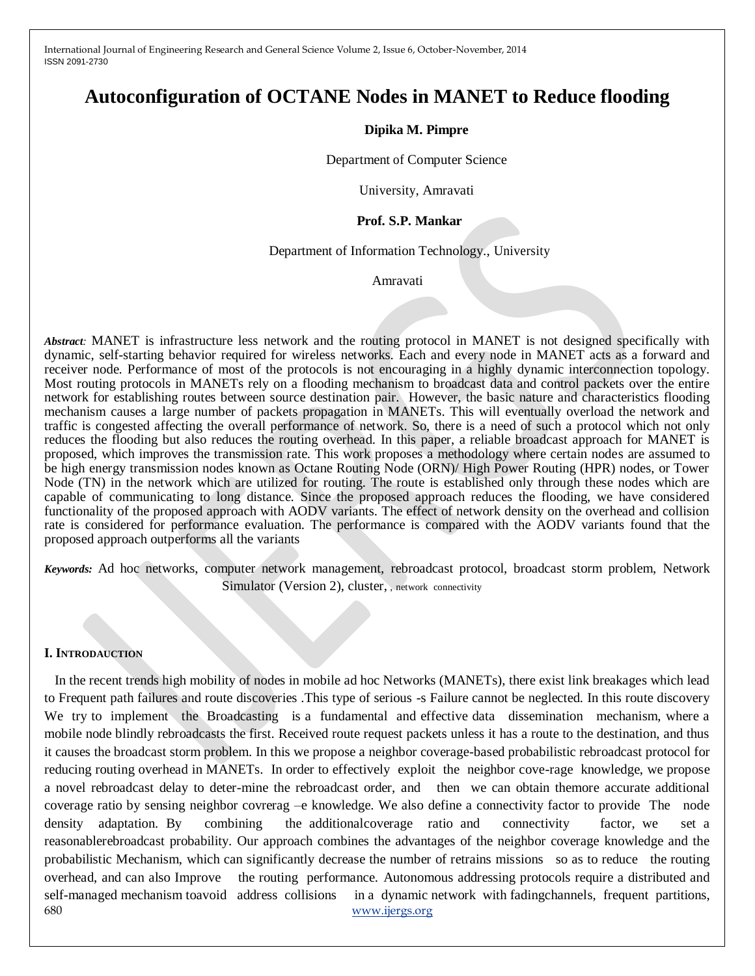# **Autoconfiguration of OCTANE Nodes in MANET to Reduce flooding**

#### **Dipika M. Pimpre**

Department of Computer Science

University, Amravati

#### **Prof. S.P. Mankar**

#### Department of Information Technology., University

Amravati

*Abstract:* MANET is infrastructure less network and the routing protocol in MANET is not designed specifically with dynamic, self-starting behavior required for wireless networks. Each and every node in MANET acts as a forward and receiver node. Performance of most of the protocols is not encouraging in a highly dynamic interconnection topology. Most routing protocols in MANETs rely on a flooding mechanism to broadcast data and control packets over the entire network for establishing routes between source destination pair. However, the basic nature and characteristics flooding mechanism causes a large number of packets propagation in MANETs. This will eventually overload the network and traffic is congested affecting the overall performance of network. So, there is a need of such a protocol which not only reduces the flooding but also reduces the routing overhead. In this paper, a reliable broadcast approach for MANET is proposed, which improves the transmission rate. This work proposes a methodology where certain nodes are assumed to be high energy transmission nodes known as Octane Routing Node (ORN)/ High Power Routing (HPR) nodes, or Tower Node (TN) in the network which are utilized for routing. The route is established only through these nodes which are capable of communicating to long distance. Since the proposed approach reduces the flooding, we have considered functionality of the proposed approach with AODV variants. The effect of network density on the overhead and collision rate is considered for performance evaluation. The performance is compared with the AODV variants found that the proposed approach outperforms all the variants

*Keywords:* Ad hoc networks, computer network management, rebroadcast protocol, broadcast storm problem, Network Simulator (Version 2), cluster, , network connectivity

#### **I. INTRODAUCTION**

680 www.ijergs.org In the recent trends high mobility of nodes in mobile ad hoc Networks (MANETs), there exist link breakages which lead to Frequent path failures and route discoveries .This type of serious -s Failure cannot be neglected. In this route discovery We try to implement the Broadcasting is a fundamental and effective data dissemination mechanism, where a mobile node blindly rebroadcasts the first. Received route request packets unless it has a route to the destination, and thus it causes the broadcast storm problem. In this we propose a neighbor coverage-based probabilistic rebroadcast protocol for reducing routing overhead in MANETs. In order to effectively exploit the neighbor cove-rage knowledge, we propose a novel rebroadcast delay to deter-mine the rebroadcast order, and then we can obtain themore accurate additional coverage ratio by sensing neighbor covrerag –e knowledge. We also define a connectivity factor to provide The node density adaptation. By combining the additionalcoverage ratio and connectivity factor, we set a reasonablerebroadcast probability. Our approach combines the advantages of the neighbor coverage knowledge and the probabilistic Mechanism, which can significantly decrease the number of retrains missions so as to reduce the routing overhead, and can also Improve the routing performance. Autonomous addressing protocols require a distributed and self-managed mechanism toavoid address collisions in a dynamic network with fadingchannels, frequent partitions,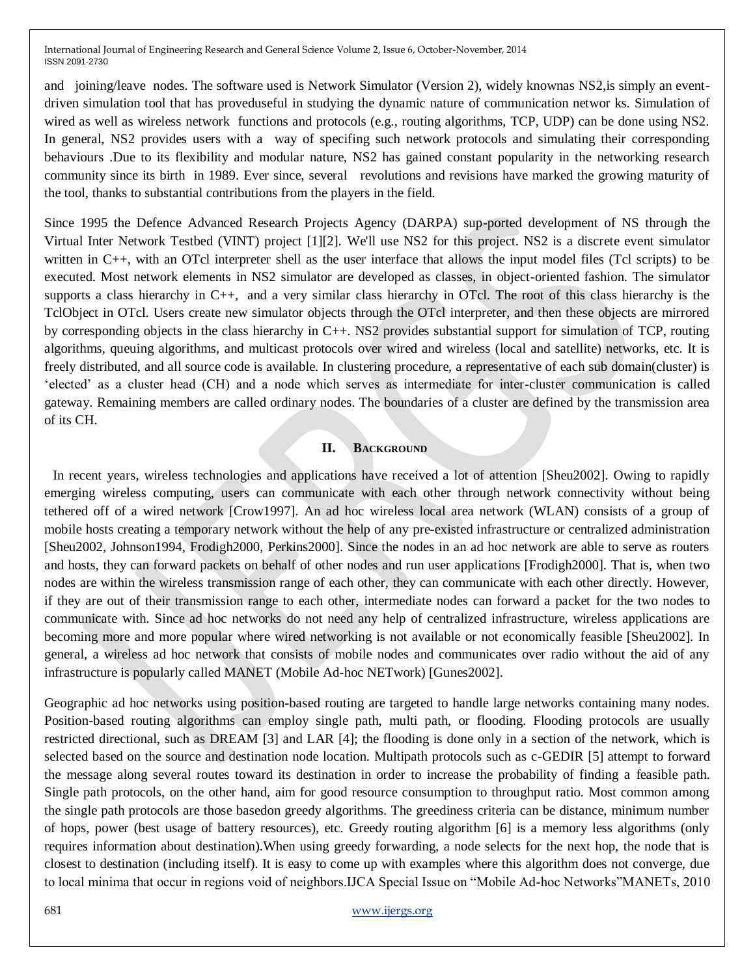and joining/leave nodes. The software used is Network Simulator (Version 2), widely knownas NS2,is simply an eventdriven simulation tool that has proveduseful in studying the dynamic nature of communication networ ks. Simulation of wired as well as wireless network functions and protocols (e.g., routing algorithms, TCP, UDP) can be done using NS2. In general, NS2 provides users with a way of specifing such network protocols and simulating their corresponding behaviours .Due to its flexibility and modular nature, NS2 has gained constant popularity in the networking research community since its birth in 1989. Ever since, several revolutions and revisions have marked the growing maturity of the tool, thanks to substantial contributions from the players in the field.

Since 1995 the Defence Advanced Research Projects Agency (DARPA) sup-ported development of NS through the Virtual Inter Network Testbed (VINT) project [1][2]. We'll use NS2 for this project. NS2 is a discrete event simulator written in C++, with an OTcl interpreter shell as the user interface that allows the input model files (Tcl scripts) to be executed. Most network elements in NS2 simulator are developed as classes, in object-oriented fashion. The simulator supports a class hierarchy in C++, and a very similar class hierarchy in OTcl. The root of this class hierarchy is the TclObject in OTcl. Users create new simulator objects through the OTcl interpreter, and then these objects are mirrored by corresponding objects in the class hierarchy in C++. NS2 provides substantial support for simulation of TCP, routing algorithms, queuing algorithms, and multicast protocols over wired and wireless (local and satellite) networks, etc. It is freely distributed, and all source code is available. In clustering procedure, a representative of each sub domain(cluster) is "elected" as a cluster head (CH) and a node which serves as intermediate for inter-cluster communication is called gateway. Remaining members are called ordinary nodes. The boundaries of a cluster are defined by the transmission area of its CH.

## **II. BACKGROUND**

In recent years, wireless technologies and applications have received a lot of attention [Sheu2002]. Owing to rapidly emerging wireless computing, users can communicate with each other through network connectivity without being tethered off of a wired network [Crow1997]. An ad hoc wireless local area network (WLAN) consists of a group of mobile hosts creating a temporary network without the help of any pre-existed infrastructure or centralized administration [Sheu2002, Johnson1994, Frodigh2000, Perkins2000]. Since the nodes in an ad hoc network are able to serve as routers and hosts, they can forward packets on behalf of other nodes and run user applications [Frodigh2000]. That is, when two nodes are within the wireless transmission range of each other, they can communicate with each other directly. However, if they are out of their transmission range to each other, intermediate nodes can forward a packet for the two nodes to communicate with. Since ad hoc networks do not need any help of centralized infrastructure, wireless applications are becoming more and more popular where wired networking is not available or not economically feasible [Sheu2002]. In general, a wireless ad hoc network that consists of mobile nodes and communicates over radio without the aid of any infrastructure is popularly called MANET (Mobile Ad-hoc NETwork) [Gunes2002].

Geographic ad hoc networks using position-based routing are targeted to handle large networks containing many nodes. Position-based routing algorithms can employ single path, multi path, or flooding. Flooding protocols are usually restricted directional, such as DREAM [3] and LAR [4]; the flooding is done only in a section of the network, which is selected based on the source and destination node location. Multipath protocols such as c-GEDIR [5] attempt to forward the message along several routes toward its destination in order to increase the probability of finding a feasible path. Single path protocols, on the other hand, aim for good resource consumption to throughput ratio. Most common among the single path protocols are those basedon greedy algorithms. The greediness criteria can be distance, minimum number of hops, power (best usage of battery resources), etc. Greedy routing algorithm [6] is a memory less algorithms (only requires information about destination).When using greedy forwarding, a node selects for the next hop, the node that is closest to destination (including itself). It is easy to come up with examples where this algorithm does not converge, due to local minima that occur in regions void of neighbors.IJCA Special Issue on "Mobile Ad-hoc Networks"MANETs, 2010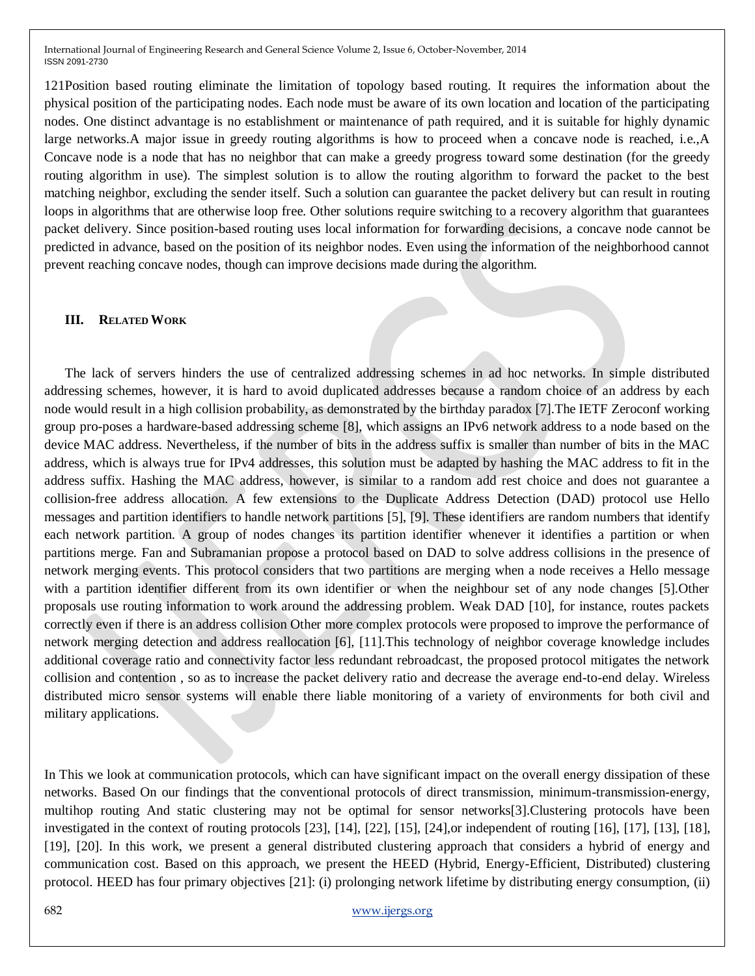121Position based routing eliminate the limitation of topology based routing. It requires the information about the physical position of the participating nodes. Each node must be aware of its own location and location of the participating nodes. One distinct advantage is no establishment or maintenance of path required, and it is suitable for highly dynamic large networks.A major issue in greedy routing algorithms is how to proceed when a concave node is reached, i.e.,A Concave node is a node that has no neighbor that can make a greedy progress toward some destination (for the greedy routing algorithm in use). The simplest solution is to allow the routing algorithm to forward the packet to the best matching neighbor, excluding the sender itself. Such a solution can guarantee the packet delivery but can result in routing loops in algorithms that are otherwise loop free. Other solutions require switching to a recovery algorithm that guarantees packet delivery. Since position-based routing uses local information for forwarding decisions, a concave node cannot be predicted in advance, based on the position of its neighbor nodes. Even using the information of the neighborhood cannot prevent reaching concave nodes, though can improve decisions made during the algorithm.

## **III. RELATED WORK**

 The lack of servers hinders the use of centralized addressing schemes in ad hoc networks. In simple distributed addressing schemes, however, it is hard to avoid duplicated addresses because a random choice of an address by each node would result in a high collision probability, as demonstrated by the birthday paradox [7].The IETF Zeroconf working group pro-poses a hardware-based addressing scheme [8], which assigns an IPv6 network address to a node based on the device MAC address. Nevertheless, if the number of bits in the address suffix is smaller than number of bits in the MAC address, which is always true for IPv4 addresses, this solution must be adapted by hashing the MAC address to fit in the address suffix. Hashing the MAC address, however, is similar to a random add rest choice and does not guarantee a collision-free address allocation. A few extensions to the Duplicate Address Detection (DAD) protocol use Hello messages and partition identifiers to handle network partitions [5], [9]. These identifiers are random numbers that identify each network partition. A group of nodes changes its partition identifier whenever it identifies a partition or when partitions merge. Fan and Subramanian propose a protocol based on DAD to solve address collisions in the presence of network merging events. This protocol considers that two partitions are merging when a node receives a Hello message with a partition identifier different from its own identifier or when the neighbour set of any node changes [5].Other proposals use routing information to work around the addressing problem. Weak DAD [10], for instance, routes packets correctly even if there is an address collision Other more complex protocols were proposed to improve the performance of network merging detection and address reallocation [6], [11].This technology of neighbor coverage knowledge includes additional coverage ratio and connectivity factor less redundant rebroadcast, the proposed protocol mitigates the network collision and contention , so as to increase the packet delivery ratio and decrease the average end-to-end delay. Wireless distributed micro sensor systems will enable there liable monitoring of a variety of environments for both civil and military applications.

In This we look at communication protocols, which can have significant impact on the overall energy dissipation of these networks. Based On our findings that the conventional protocols of direct transmission, minimum-transmission-energy, multihop routing And static clustering may not be optimal for sensor networks[3].Clustering protocols have been investigated in the context of routing protocols [23], [14], [22], [15], [24],or independent of routing [16], [17], [13], [18], [19], [20]. In this work, we present a general distributed clustering approach that considers a hybrid of energy and communication cost. Based on this approach, we present the HEED (Hybrid, Energy-Efficient, Distributed) clustering protocol. HEED has four primary objectives [21]: (i) prolonging network lifetime by distributing energy consumption, (ii)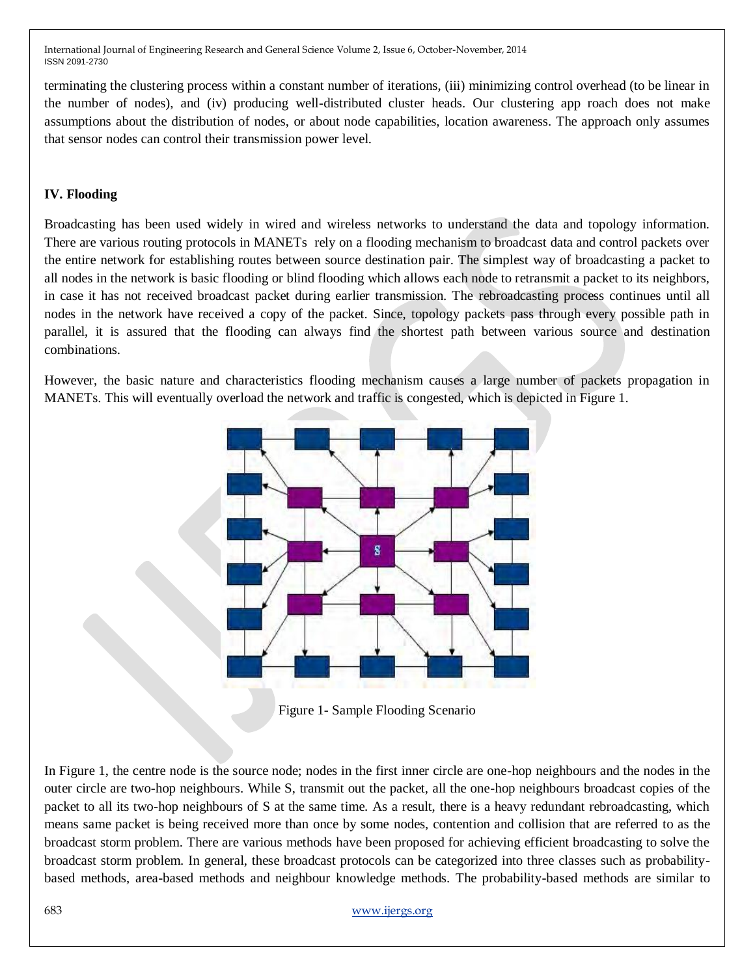terminating the clustering process within a constant number of iterations, (iii) minimizing control overhead (to be linear in the number of nodes), and (iv) producing well-distributed cluster heads. Our clustering app roach does not make assumptions about the distribution of nodes, or about node capabilities, location awareness. The approach only assumes that sensor nodes can control their transmission power level.

## **IV. Flooding**

Broadcasting has been used widely in wired and wireless networks to understand the data and topology information. There are various routing protocols in MANETs rely on a flooding mechanism to broadcast data and control packets over the entire network for establishing routes between source destination pair. The simplest way of broadcasting a packet to all nodes in the network is basic flooding or blind flooding which allows each node to retransmit a packet to its neighbors, in case it has not received broadcast packet during earlier transmission. The rebroadcasting process continues until all nodes in the network have received a copy of the packet. Since, topology packets pass through every possible path in parallel, it is assured that the flooding can always find the shortest path between various source and destination combinations.

However, the basic nature and characteristics flooding mechanism causes a large number of packets propagation in MANETs. This will eventually overload the network and traffic is congested, which is depicted in Figure 1.



Figure 1- Sample Flooding Scenario

In Figure 1, the centre node is the source node; nodes in the first inner circle are one-hop neighbours and the nodes in the outer circle are two-hop neighbours. While S, transmit out the packet, all the one-hop neighbours broadcast copies of the packet to all its two-hop neighbours of S at the same time. As a result, there is a heavy redundant rebroadcasting, which means same packet is being received more than once by some nodes, contention and collision that are referred to as the broadcast storm problem. There are various methods have been proposed for achieving efficient broadcasting to solve the broadcast storm problem. In general, these broadcast protocols can be categorized into three classes such as probabilitybased methods, area-based methods and neighbour knowledge methods. The probability-based methods are similar to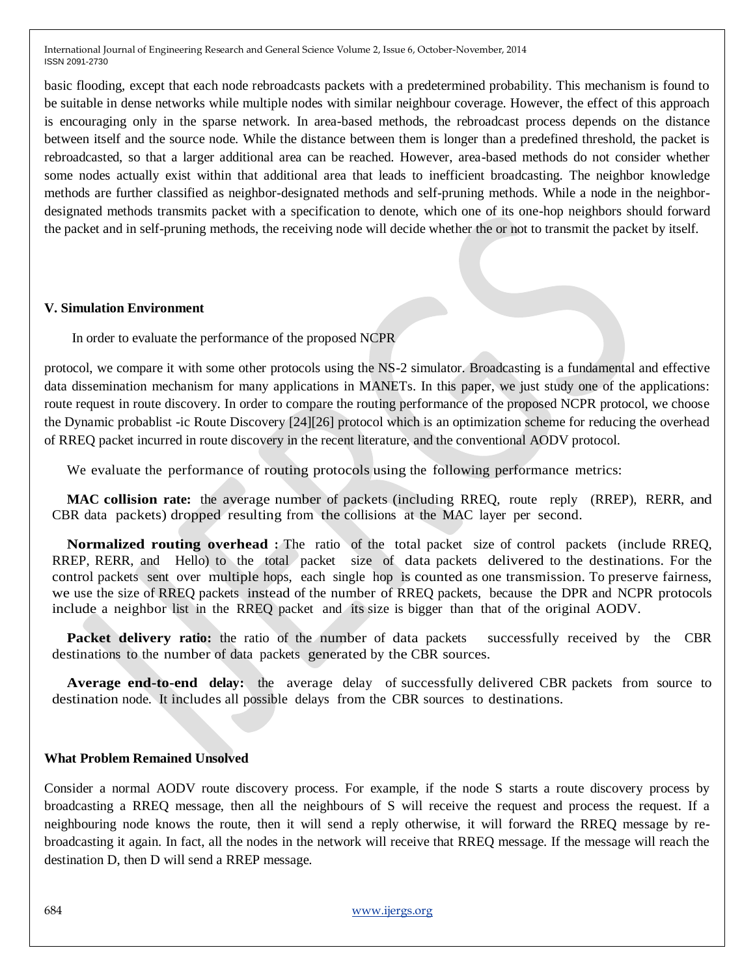basic flooding, except that each node rebroadcasts packets with a predetermined probability. This mechanism is found to be suitable in dense networks while multiple nodes with similar neighbour coverage. However, the effect of this approach is encouraging only in the sparse network. In area-based methods, the rebroadcast process depends on the distance between itself and the source node. While the distance between them is longer than a predefined threshold, the packet is rebroadcasted, so that a larger additional area can be reached. However, area-based methods do not consider whether some nodes actually exist within that additional area that leads to inefficient broadcasting. The neighbor knowledge methods are further classified as neighbor-designated methods and self-pruning methods. While a node in the neighbordesignated methods transmits packet with a specification to denote, which one of its one-hop neighbors should forward the packet and in self-pruning methods, the receiving node will decide whether the or not to transmit the packet by itself.

#### **V. Simulation Environment**

In order to evaluate the performance of the proposed NCPR

protocol, we compare it with some other protocols using the NS-2 simulator. Broadcasting is a fundamental and effective data dissemination mechanism for many applications in MANETs. In this paper, we just study one of the applications: route request in route discovery. In order to compare the routing performance of the proposed NCPR protocol, we choose the Dynamic probablist -ic Route Discovery [24][26] protocol which is an optimization scheme for reducing the overhead of RREQ packet incurred in route discovery in the recent literature, and the conventional AODV protocol.

We evaluate the performance of routing protocols using the following performance metrics:

**MAC collision rate:** the average number of packets (including RREQ, route reply (RREP), RERR, and CBR data packets) dropped resulting from the collisions at the MAC layer per second.

**Normalized routing overhead :** The ratio of the total packet size of control packets (include RREQ, RREP, RERR, and Hello) to the total packet size of data packets delivered to the destinations. For the control packets sent over multiple hops, each single hop is counted as one transmission. To preserve fairness, we use the size of RREQ packets instead of the number of RREQ packets, because the DPR and NCPR protocols include a neighbor list in the RREQ packet and its size is bigger than that of the original AODV.

**Packet delivery ratio:** the ratio of the number of data packets successfully received by the CBR destinations to the number of data packets generated by the CBR sources.

**Average end-to-end delay:** the average delay of successfully delivered CBR packets from source to destination node. It includes all possible delays from the CBR sources to destinations.

#### **What Problem Remained Unsolved**

Consider a normal AODV route discovery process. For example, if the node S starts a route discovery process by broadcasting a RREQ message, then all the neighbours of S will receive the request and process the request. If a neighbouring node knows the route, then it will send a reply otherwise, it will forward the RREQ message by rebroadcasting it again. In fact, all the nodes in the network will receive that RREQ message. If the message will reach the destination D, then D will send a RREP message.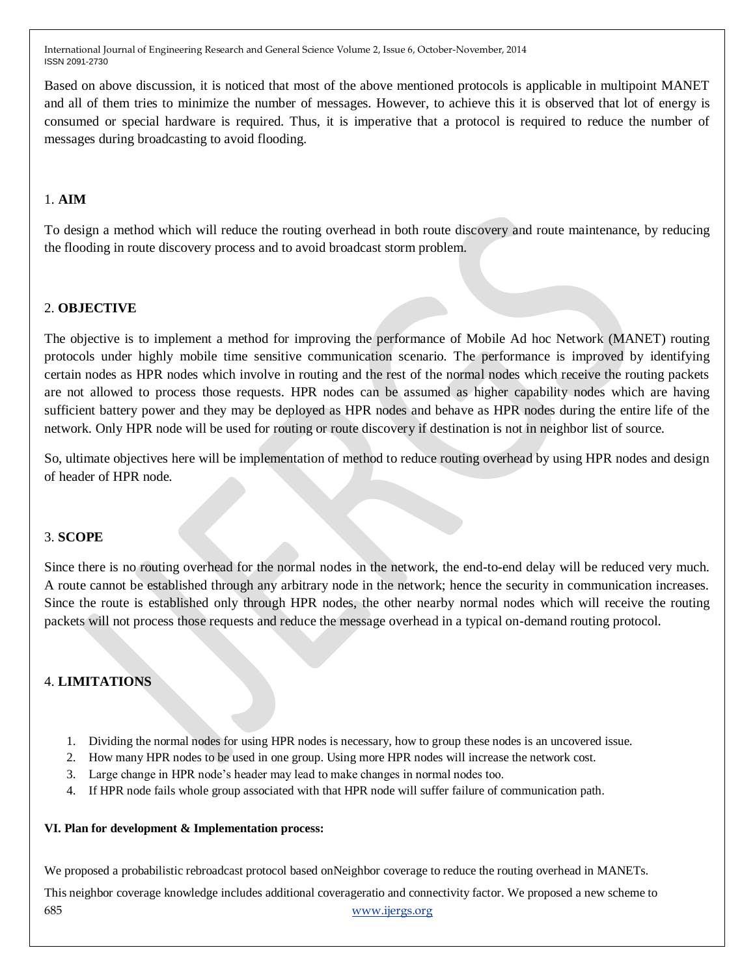Based on above discussion, it is noticed that most of the above mentioned protocols is applicable in multipoint MANET and all of them tries to minimize the number of messages. However, to achieve this it is observed that lot of energy is consumed or special hardware is required. Thus, it is imperative that a protocol is required to reduce the number of messages during broadcasting to avoid flooding.

# 1. **AIM**

To design a method which will reduce the routing overhead in both route discovery and route maintenance, by reducing the flooding in route discovery process and to avoid broadcast storm problem.

# 2. **OBJECTIVE**

The objective is to implement a method for improving the performance of Mobile Ad hoc Network (MANET) routing protocols under highly mobile time sensitive communication scenario. The performance is improved by identifying certain nodes as HPR nodes which involve in routing and the rest of the normal nodes which receive the routing packets are not allowed to process those requests. HPR nodes can be assumed as higher capability nodes which are having sufficient battery power and they may be deployed as HPR nodes and behave as HPR nodes during the entire life of the network. Only HPR node will be used for routing or route discovery if destination is not in neighbor list of source.

So, ultimate objectives here will be implementation of method to reduce routing overhead by using HPR nodes and design of header of HPR node.

#### 3. **SCOPE**

Since there is no routing overhead for the normal nodes in the network, the end-to-end delay will be reduced very much. A route cannot be established through any arbitrary node in the network; hence the security in communication increases. Since the route is established only through HPR nodes, the other nearby normal nodes which will receive the routing packets will not process those requests and reduce the message overhead in a typical on-demand routing protocol.

# 4. **LIMITATIONS**

- 1. Dividing the normal nodes for using HPR nodes is necessary, how to group these nodes is an uncovered issue.
- 2. How many HPR nodes to be used in one group. Using more HPR nodes will increase the network cost.
- 3. Large change in HPR node"s header may lead to make changes in normal nodes too.
- 4. If HPR node fails whole group associated with that HPR node will suffer failure of communication path.

#### **VI. Plan for development & Implementation process:**

685 www.ijergs.org We proposed a probabilistic rebroadcast protocol based onNeighbor coverage to reduce the routing overhead in MANETs. This neighbor coverage knowledge includes additional coverageratio and connectivity factor. We proposed a new scheme to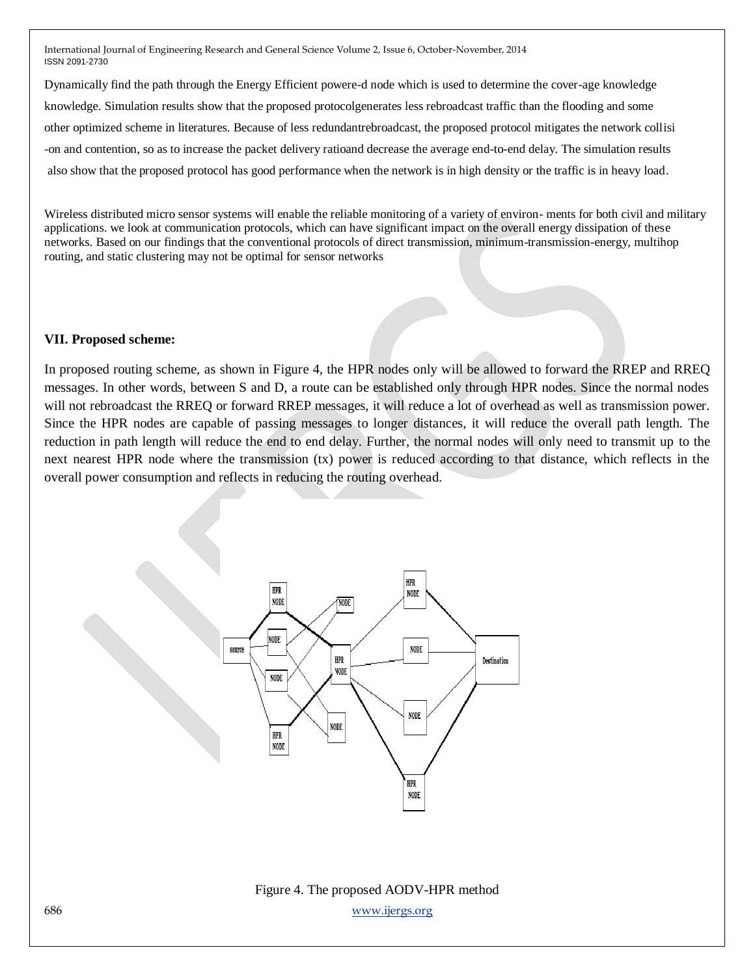Dynamically find the path through the Energy Efficient powere-d node which is used to determine the cover-age knowledge knowledge. Simulation results show that the proposed protocolgenerates less rebroadcast traffic than the flooding and some other optimized scheme in literatures. Because of less redundantrebroadcast, the proposed protocol mitigates the network collisi -on and contention, so as to increase the packet delivery ratioand decrease the average end-to-end delay. The simulation results also show that the proposed protocol has good performance when the network is in high density or the traffic is in heavy load.

Wireless distributed micro sensor systems will enable the reliable monitoring of a variety of environ- ments for both civil and military applications. we look at communication protocols, which can have significant impact on the overall energy dissipation of these networks. Based on our findings that the conventional protocols of direct transmission, minimum-transmission-energy, multihop routing, and static clustering may not be optimal for sensor networks

#### **VII. Proposed scheme:**

In proposed routing scheme, as shown in Figure 4, the HPR nodes only will be allowed to forward the RREP and RREQ messages. In other words, between S and D, a route can be established only through HPR nodes. Since the normal nodes will not rebroadcast the RREQ or forward RREP messages, it will reduce a lot of overhead as well as transmission power. Since the HPR nodes are capable of passing messages to longer distances, it will reduce the overall path length. The reduction in path length will reduce the end to end delay. Further, the normal nodes will only need to transmit up to the next nearest HPR node where the transmission (tx) power is reduced according to that distance, which reflects in the overall power consumption and reflects in reducing the routing overhead.



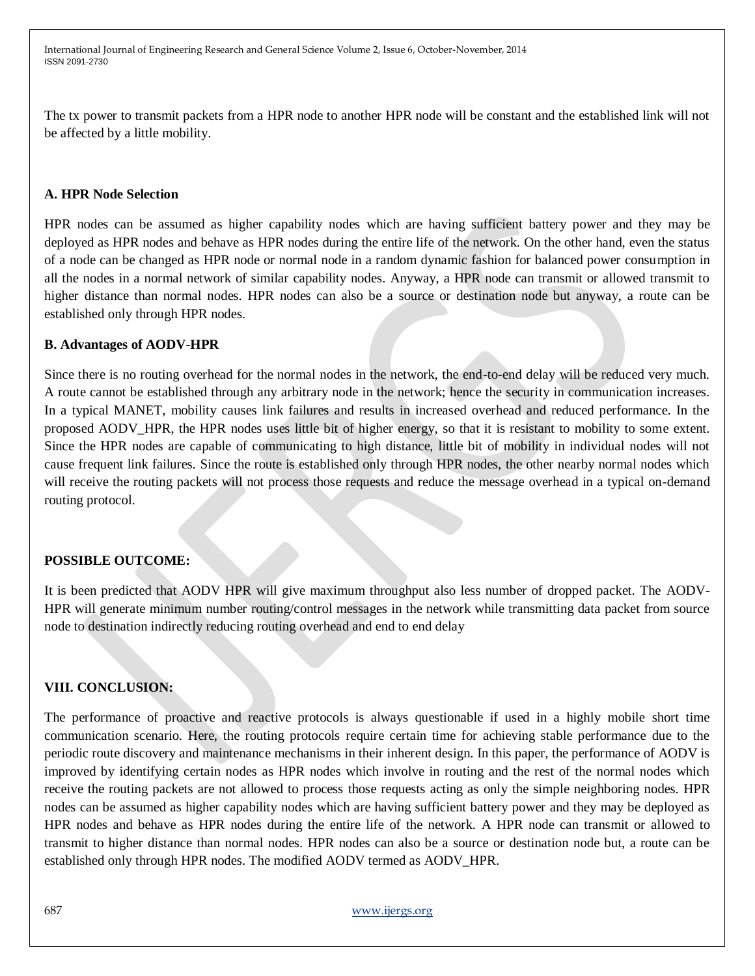The tx power to transmit packets from a HPR node to another HPR node will be constant and the established link will not be affected by a little mobility.

## **A. HPR Node Selection**

HPR nodes can be assumed as higher capability nodes which are having sufficient battery power and they may be deployed as HPR nodes and behave as HPR nodes during the entire life of the network. On the other hand, even the status of a node can be changed as HPR node or normal node in a random dynamic fashion for balanced power consumption in all the nodes in a normal network of similar capability nodes. Anyway, a HPR node can transmit or allowed transmit to higher distance than normal nodes. HPR nodes can also be a source or destination node but anyway, a route can be established only through HPR nodes.

#### **B. Advantages of AODV-HPR**

Since there is no routing overhead for the normal nodes in the network, the end-to-end delay will be reduced very much. A route cannot be established through any arbitrary node in the network; hence the security in communication increases. In a typical MANET, mobility causes link failures and results in increased overhead and reduced performance. In the proposed AODV\_HPR, the HPR nodes uses little bit of higher energy, so that it is resistant to mobility to some extent. Since the HPR nodes are capable of communicating to high distance, little bit of mobility in individual nodes will not cause frequent link failures. Since the route is established only through HPR nodes, the other nearby normal nodes which will receive the routing packets will not process those requests and reduce the message overhead in a typical on-demand routing protocol.

#### **POSSIBLE OUTCOME:**

It is been predicted that AODV HPR will give maximum throughput also less number of dropped packet. The AODV-HPR will generate minimum number routing/control messages in the network while transmitting data packet from source node to destination indirectly reducing routing overhead and end to end delay

#### **VIII. CONCLUSION:**

The performance of proactive and reactive protocols is always questionable if used in a highly mobile short time communication scenario. Here, the routing protocols require certain time for achieving stable performance due to the periodic route discovery and maintenance mechanisms in their inherent design. In this paper, the performance of AODV is improved by identifying certain nodes as HPR nodes which involve in routing and the rest of the normal nodes which receive the routing packets are not allowed to process those requests acting as only the simple neighboring nodes. HPR nodes can be assumed as higher capability nodes which are having sufficient battery power and they may be deployed as HPR nodes and behave as HPR nodes during the entire life of the network. A HPR node can transmit or allowed to transmit to higher distance than normal nodes. HPR nodes can also be a source or destination node but, a route can be established only through HPR nodes. The modified AODV termed as AODV\_HPR.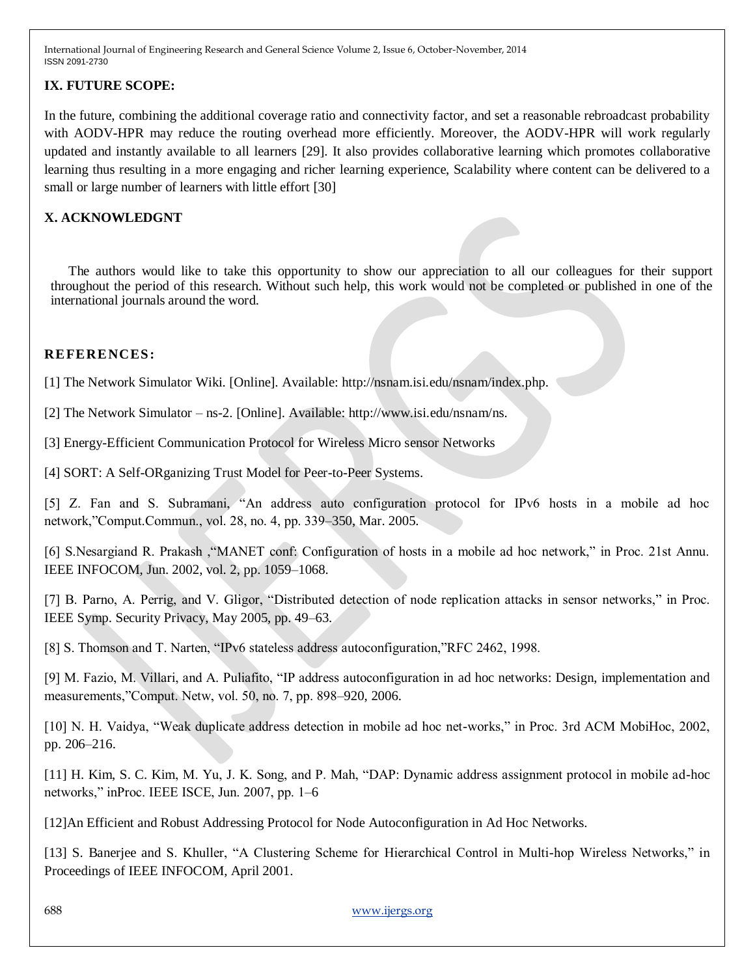## **IX. FUTURE SCOPE:**

In the future, combining the additional coverage ratio and connectivity factor, and set a reasonable rebroadcast probability with AODV-HPR may reduce the routing overhead more efficiently. Moreover, the AODV-HPR will work regularly updated and instantly available to all learners [29]. It also provides collaborative learning which promotes collaborative learning thus resulting in a more engaging and richer learning experience, Scalability where content can be delivered to a small or large number of learners with little effort [30]

# **X. ACKNOWLEDGNT**

The authors would like to take this opportunity to show our appreciation to all our colleagues for their support throughout the period of this research. Without such help, this work would not be completed or published in one of the international journals around the word.

## **REFERENCES:**

[1] The Network Simulator Wiki. [Online]. Available: http://nsnam.isi.edu/nsnam/index.php.

[2] The Network Simulator – ns-2. [Online]. Available: http://www.isi.edu/nsnam/ns.

[3] Energy-Efficient Communication Protocol for Wireless Micro sensor Networks

[4] SORT: A Self-ORganizing Trust Model for Peer-to-Peer Systems.

[5] Z. Fan and S. Subramani, "An address auto configuration protocol for IPv6 hosts in a mobile ad hoc network,"Comput.Commun., vol. 28, no. 4, pp. 339–350, Mar. 2005.

[6] S.Nesargiand R. Prakash ,"MANET conf: Configuration of hosts in a mobile ad hoc network," in Proc. 21st Annu. IEEE INFOCOM, Jun. 2002, vol. 2, pp. 1059–1068.

[7] B. Parno, A. Perrig, and V. Gligor, "Distributed detection of node replication attacks in sensor networks," in Proc. IEEE Symp. Security Privacy, May 2005, pp. 49–63.

[8] S. Thomson and T. Narten, "IPv6 stateless address autoconfiguration,"RFC 2462, 1998.

[9] M. Fazio, M. Villari, and A. Puliafito, "IP address autoconfiguration in ad hoc networks: Design, implementation and measurements,"Comput. Netw, vol. 50, no. 7, pp. 898–920, 2006.

[10] N. H. Vaidya, "Weak duplicate address detection in mobile ad hoc net-works," in Proc. 3rd ACM MobiHoc, 2002, pp. 206–216.

[11] H. Kim, S. C. Kim, M. Yu, J. K. Song, and P. Mah, "DAP: Dynamic address assignment protocol in mobile ad-hoc networks," inProc. IEEE ISCE, Jun. 2007, pp. 1–6

[12]An Efficient and Robust Addressing Protocol for Node Autoconfiguration in Ad Hoc Networks.

[13] S. Banerjee and S. Khuller, "A Clustering Scheme for Hierarchical Control in Multi-hop Wireless Networks," in Proceedings of IEEE INFOCOM, April 2001.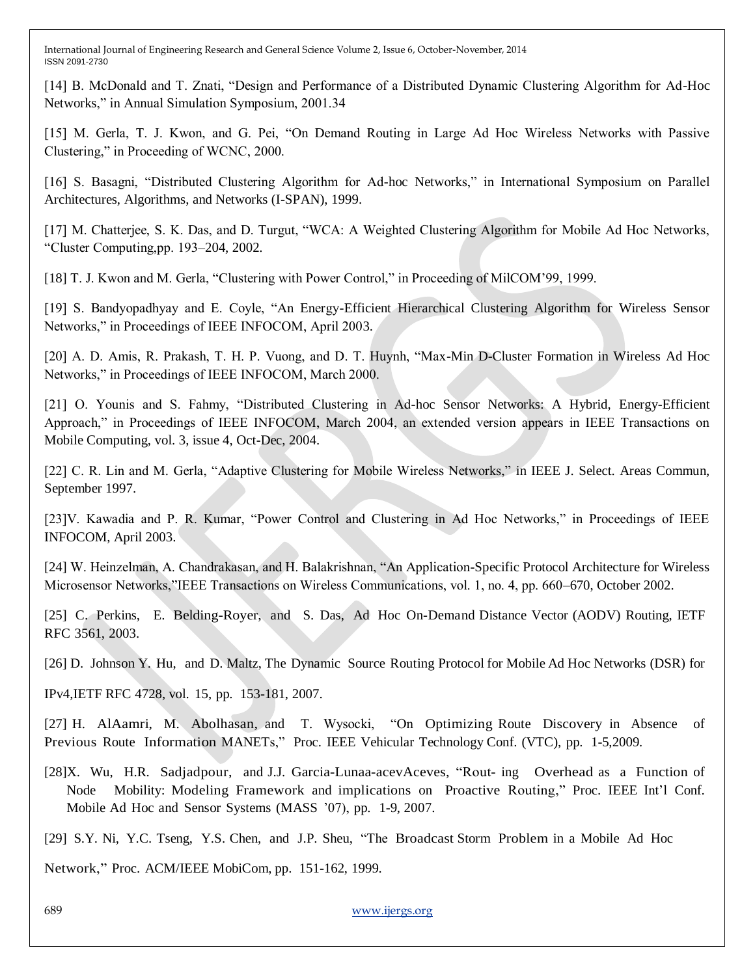[14] B. McDonald and T. Znati, "Design and Performance of a Distributed Dynamic Clustering Algorithm for Ad-Hoc Networks," in Annual Simulation Symposium, 2001.34

[15] M. Gerla, T. J. Kwon, and G. Pei, "On Demand Routing in Large Ad Hoc Wireless Networks with Passive Clustering," in Proceeding of WCNC, 2000.

[16] S. Basagni, "Distributed Clustering Algorithm for Ad-hoc Networks," in International Symposium on Parallel Architectures, Algorithms, and Networks (I-SPAN), 1999.

[17] M. Chatterjee, S. K. Das, and D. Turgut, "WCA: A Weighted Clustering Algorithm for Mobile Ad Hoc Networks, "Cluster Computing,pp. 193–204, 2002.

[18] T. J. Kwon and M. Gerla, "Clustering with Power Control," in Proceeding of MilCOM"99, 1999.

[19] S. Bandyopadhyay and E. Coyle, "An Energy-Efficient Hierarchical Clustering Algorithm for Wireless Sensor Networks," in Proceedings of IEEE INFOCOM, April 2003.

[20] A. D. Amis, R. Prakash, T. H. P. Vuong, and D. T. Huynh, "Max-Min D-Cluster Formation in Wireless Ad Hoc Networks," in Proceedings of IEEE INFOCOM, March 2000.

[21] O. Younis and S. Fahmy, "Distributed Clustering in Ad-hoc Sensor Networks: A Hybrid, Energy-Efficient Approach," in Proceedings of IEEE INFOCOM, March 2004, an extended version appears in IEEE Transactions on Mobile Computing, vol. 3, issue 4, Oct-Dec, 2004.

[22] C. R. Lin and M. Gerla, "Adaptive Clustering for Mobile Wireless Networks," in IEEE J. Select. Areas Commun, September 1997.

[23]V. Kawadia and P. R. Kumar, "Power Control and Clustering in Ad Hoc Networks," in Proceedings of IEEE INFOCOM, April 2003.

[24] W. Heinzelman, A. Chandrakasan, and H. Balakrishnan, "An Application-Specific Protocol Architecture for Wireless Microsensor Networks,"IEEE Transactions on Wireless Communications, vol. 1, no. 4, pp. 660–670, October 2002.

[25] C. Perkins, E. Belding-Royer, and S. Das, Ad Hoc On-Demand Distance Vector (AODV) Routing, IETF RFC 3561, 2003.

[26] D. Johnson Y. Hu, and D. Maltz, The Dynamic Source Routing Protocol for Mobile Ad Hoc Networks (DSR) for

IPv4,IETF RFC 4728, vol. 15, pp. 153-181, 2007.

[27] H. AlAamri, M. Abolhasan, and T. Wysocki, "On Optimizing Route Discovery in Absence of Previous Route Information MANETs," Proc. IEEE Vehicular Technology Conf. (VTC), pp. 1-5,2009.

[28]X. Wu, H.R. Sadjadpour, and J.J. Garcia-Lunaa-acevAceves, "Rout- ing Overhead as a Function of Node Mobility: Modeling Framework and implications on Proactive Routing," Proc. IEEE Int'l Conf. Mobile Ad Hoc and Sensor Systems (MASS "07), pp. 1-9, 2007.

[29] S.Y. Ni, Y.C. Tseng, Y.S. Chen, and J.P. Sheu, "The Broadcast Storm Problem in a Mobile Ad Hoc

Network," Proc. ACM/IEEE MobiCom, pp. 151-162, 1999.